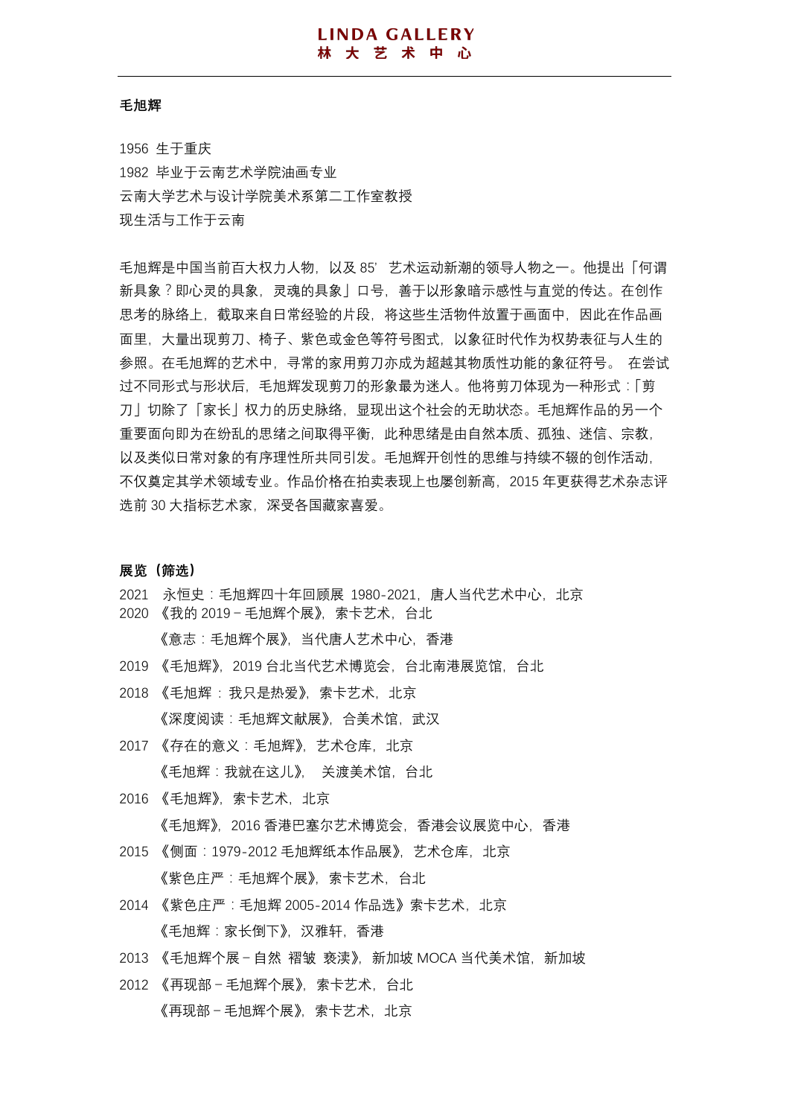#### **毛旭辉**

1956 生于重庆 1982 毕业于云南艺术学院油画专业 云南大学艺术与设计学院美术系第二工作室教授 现生活与工作于云南

毛旭辉是中国当前百大权力人物,以及 85'艺术运动新潮的领导人物之一。他提出「何谓 新具象?即心灵的具象,灵魂的具象」口号,善于以形象暗示感性与直觉的传达。在创作 思考的脉络上,截取来自日常经验的片段,将这些生活物件放置于画面中,因此在作品画 面里,大量出现剪刀、椅子、紫色或金色等符号图式,以象征时代作为权势表征与人生的 参照。在毛旭辉的艺术中,寻常的家用剪刀亦成为超越其物质性功能的象征符号。 在尝试 过不同形式与形状后,毛旭辉发现剪刀的形象最为迷人。他将剪刀体现为一种形式:「剪 刀」切除了「家长」权力的历史脉络,显现出这个社会的无助状态。毛旭辉作品的另一个 重要面向即为在纷乱的思绪之间取得平衡,此种思绪是由自然本质、孤独、迷信、宗教, 以及类似日常对象的有序理性所共同引发。毛旭辉开创性的思维与持续不辍的创作活动, 不仅奠定其学术领域专业。作品价格在拍卖表现上也屡创新高,2015 年更获得艺术杂志评 选前 30 大指标艺术家,深受各国藏家喜爱。

**展览(筛选)**

- 2021 永恒史:毛旭辉四十年回顾展 1980-2021,唐人当代艺术中心,北京
- 2020 《我的 2019-毛旭辉个展》,索卡艺术,台北 《意志:毛旭辉个展》,当代唐人艺术中心,香港
- 2019 《毛旭辉》,2019 台北当代艺术博览会,台北南港展览馆,台北
- 2018 《毛旭辉 : 我只是热爱》,索卡艺术,北京 《深度阅读:毛旭辉文献展》,合美术馆,武汉
- 2017 《存在的意义:毛旭辉》,艺术仓库,北京 《毛旭辉:我就在这儿》, 关渡美术馆,台北
- 2016 《毛旭辉》, 索卡艺术, 北京 《毛旭辉》,2016 香港巴塞尔艺术博览会,香港会议展览中心,香港
- 2015 《侧面:1979-2012 毛旭辉纸本作品展》,艺术仓库,北京 《紫色庄严:毛旭辉个展》,索卡艺术,台北
- 2014 《紫色庄严:毛旭辉 2005-2014 作品选》索卡艺术,北京 《毛旭辉:家长倒下》,汉雅轩,香港
- 2013 《毛旭辉个展-自然 褶皱 亵渎》,新加坡 MOCA 当代美术馆,新加坡
- 2012 《再现部-毛旭辉个展》,索卡艺术,台北 《再现部-毛旭辉个展》,索卡艺术,北京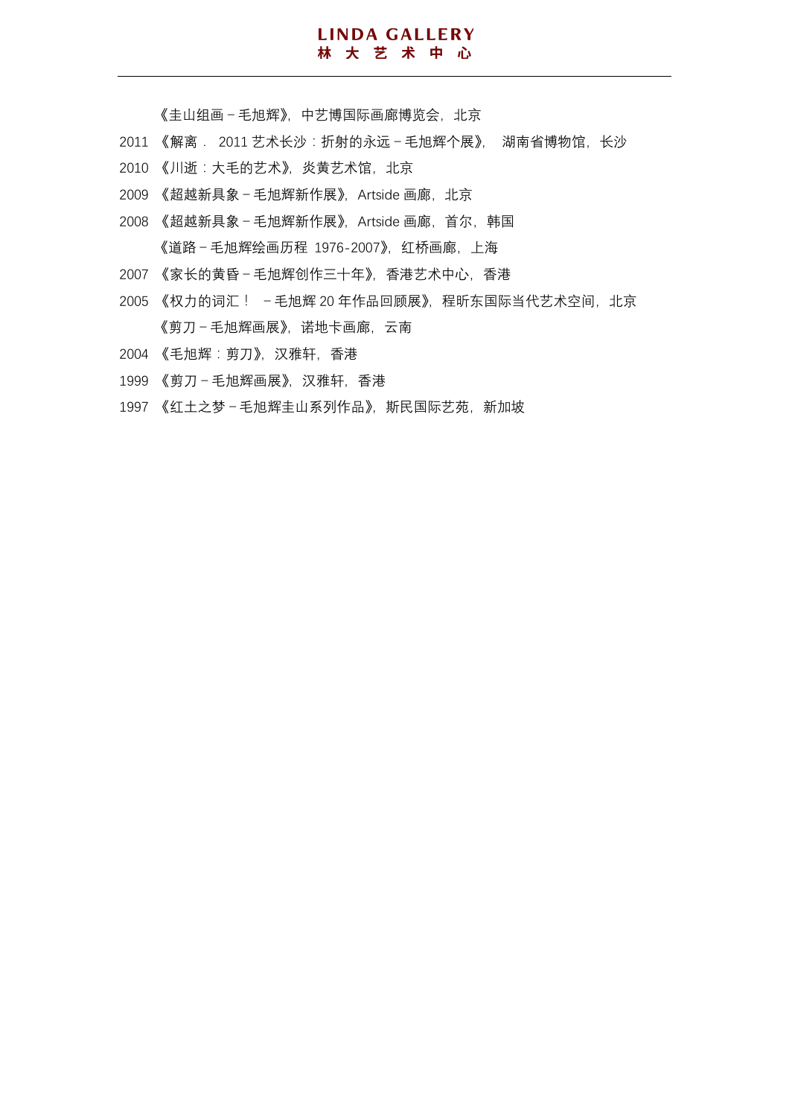### **LINDA GALLERY** 林大艺术中心

#### 《圭山组画-毛旭辉》,中艺博国际画廊博览会,北京

- 2011 《解离. 2011 艺术长沙: 折射的永远-毛旭辉个展》, 湖南省博物馆, 长沙
- 2010 《川逝:大毛的艺术》,炎黄艺术馆,北京
- 2009 《超越新具象 毛旭辉新作展》, Artside 画廊, 北京
- 2008 《超越新具象-毛旭辉新作展》, Artside 画廊, 首尔, 韩国 《道路-毛旭辉绘画历程 1976-2007》,红桥画廊,上海
- 2007 《家长的黄昏-毛旭辉创作三十年》,香港艺术中心,香港
- 2005 《权力的词汇! 毛旭辉 20 年作品回顾展》, 程昕东国际当代艺术空间, 北京 《剪刀-毛旭辉画展》,诺地卡画廊,云南
- 2004 《毛旭辉:剪刀》,汉雅轩,香港
- 1999 《剪刀-毛旭辉画展》,汉雅轩,香港
- 1997 《红土之梦-毛旭辉圭山系列作品》,斯民国际艺苑,新加坡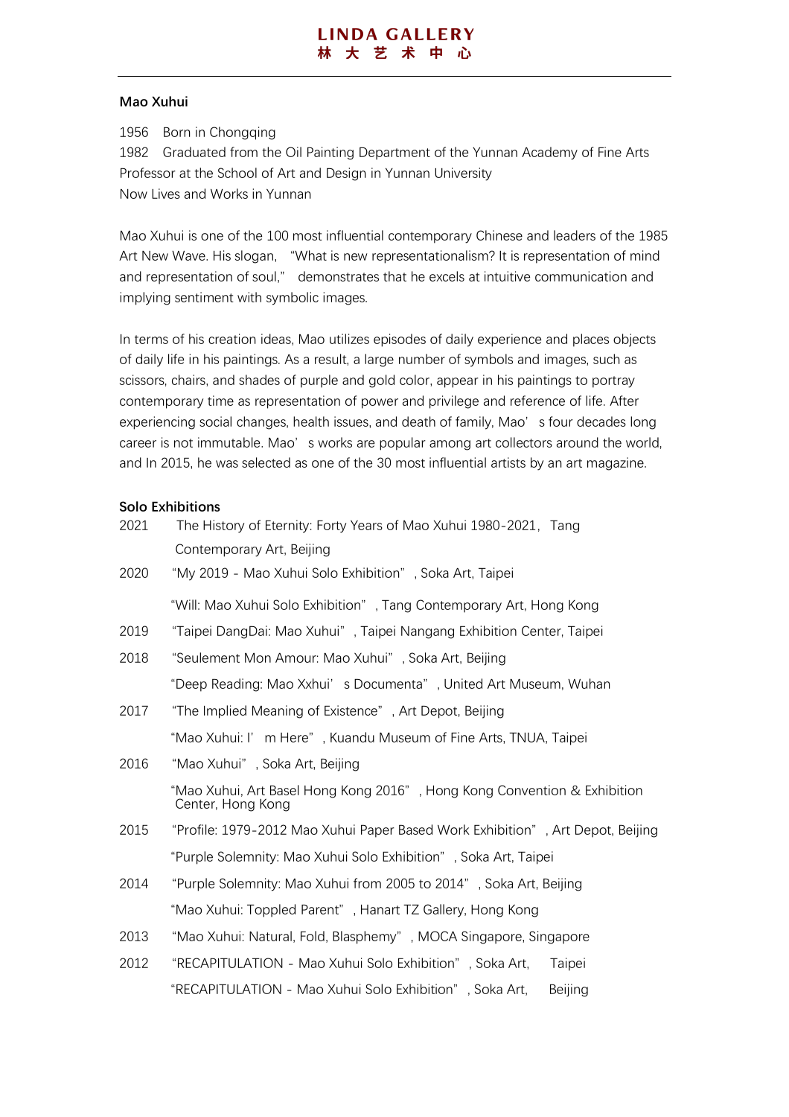## **Mao Xuhui**

1956 Born in Chongqing

1982 Graduated from the Oil Painting Department of the Yunnan Academy of Fine Arts Professor at the School of Art and Design in Yunnan University Now Lives and Works in Yunnan

Mao Xuhui is one of the 100 most influential contemporary Chinese and leaders of the 1985 Art New Wave. His slogan, "What is new representationalism? It is representation of mind and representation of soul," demonstrates that he excels at intuitive communication and implying sentiment with symbolic images.

In terms of his creation ideas, Mao utilizes episodes of daily experience and places objects of daily life in his paintings. As a result, a large number of symbols and images, such as scissors, chairs, and shades of purple and gold color, appear in his paintings to portray contemporary time as representation of power and privilege and reference of life. After experiencing social changes, health issues, and death of family, Mao's four decades long career is not immutable. Mao' s works are popular among art collectors around the world, and In 2015, he was selected as one of the 30 most influential artists by an art magazine.

# **Solo Exhibitions**

| 2021 | The History of Eternity: Forty Years of Mao Xuhui 1980-2021, Tang                             |
|------|-----------------------------------------------------------------------------------------------|
|      | Contemporary Art, Beijing                                                                     |
| 2020 | "My 2019 - Mao Xuhui Solo Exhibition", Soka Art, Taipei                                       |
|      | "Will: Mao Xuhui Solo Exhibition", Tang Contemporary Art, Hong Kong                           |
| 2019 | "Taipei DangDai: Mao Xuhui", Taipei Nangang Exhibition Center, Taipei                         |
| 2018 | "Seulement Mon Amour: Mao Xuhui", Soka Art, Beijing                                           |
|      | "Deep Reading: Mao Xxhui's Documenta", United Art Museum, Wuhan                               |
| 2017 | "The Implied Meaning of Existence", Art Depot, Beijing                                        |
|      | "Mao Xuhui: I' m Here", Kuandu Museum of Fine Arts, TNUA, Taipei                              |
| 2016 | "Mao Xuhui", Soka Art, Beijing                                                                |
|      | "Mao Xuhui, Art Basel Hong Kong 2016", Hong Kong Convention & Exhibition<br>Center, Hong Kong |
| 2015 | "Profile: 1979-2012 Mao Xuhui Paper Based Work Exhibition", Art Depot, Beijing                |
|      | "Purple Solemnity: Mao Xuhui Solo Exhibition", Soka Art, Taipei                               |
| 2014 | "Purple Solemnity: Mao Xuhui from 2005 to 2014", Soka Art, Beijing                            |
|      | "Mao Xuhui: Toppled Parent", Hanart TZ Gallery, Hong Kong                                     |
| 2013 | "Mao Xuhui: Natural, Fold, Blasphemy", MOCA Singapore, Singapore                              |
| 2012 | "RECAPITULATION - Mao Xuhui Solo Exhibition", Soka Art,<br>Taipei                             |
|      | "RECAPITULATION - Mao Xuhui Solo Exhibition", Soka Art,<br>Beijing                            |